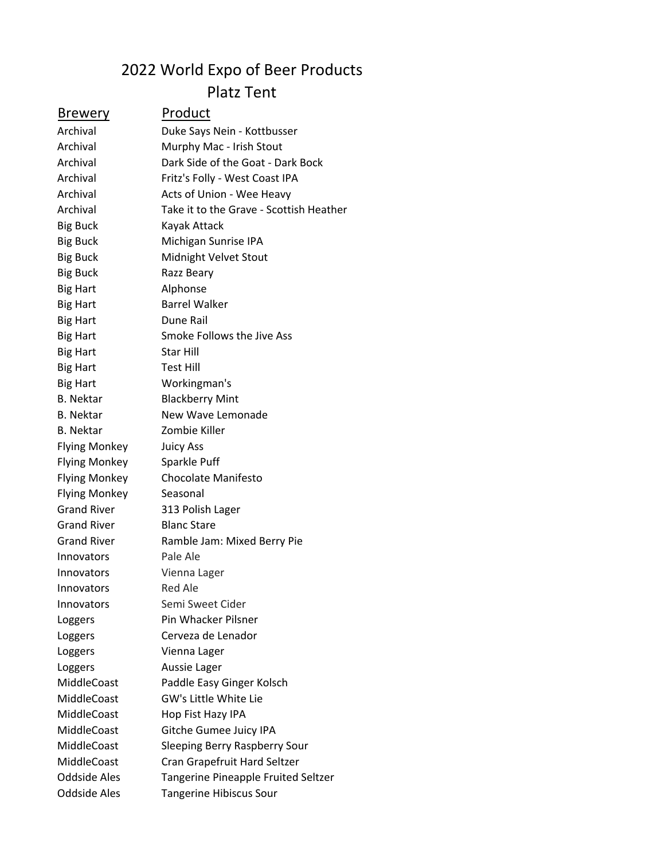## 2022 World Expo of Beer Products Platz Tent

| <b>Brewery</b>       | Product                                 |
|----------------------|-----------------------------------------|
| Archival             | Duke Says Nein - Kottbusser             |
| Archival             | Murphy Mac - Irish Stout                |
| Archival             | Dark Side of the Goat - Dark Bock       |
| Archival             | Fritz's Folly - West Coast IPA          |
| Archival             | Acts of Union - Wee Heavy               |
| Archival             | Take it to the Grave - Scottish Heather |
| <b>Big Buck</b>      | Kayak Attack                            |
| <b>Big Buck</b>      | Michigan Sunrise IPA                    |
| <b>Big Buck</b>      | Midnight Velvet Stout                   |
| <b>Big Buck</b>      | Razz Beary                              |
| <b>Big Hart</b>      | Alphonse                                |
| <b>Big Hart</b>      | <b>Barrel Walker</b>                    |
| <b>Big Hart</b>      | Dune Rail                               |
| <b>Big Hart</b>      | Smoke Follows the Jive Ass              |
| <b>Big Hart</b>      | Star Hill                               |
| <b>Big Hart</b>      | Test Hill                               |
| <b>Big Hart</b>      | Workingman's                            |
| <b>B.</b> Nektar     | <b>Blackberry Mint</b>                  |
| <b>B.</b> Nektar     | New Wave Lemonade                       |
| <b>B.</b> Nektar     | Zombie Killer                           |
| <b>Flying Monkey</b> | <b>Juicy Ass</b>                        |
| <b>Flying Monkey</b> | Sparkle Puff                            |
| <b>Flying Monkey</b> | <b>Chocolate Manifesto</b>              |
| <b>Flying Monkey</b> | Seasonal                                |
| <b>Grand River</b>   | 313 Polish Lager                        |
| <b>Grand River</b>   | <b>Blanc Stare</b>                      |
| <b>Grand River</b>   | Ramble Jam: Mixed Berry Pie             |
| Innovators           | Pale Ale                                |
| Innovators           | Vienna Lager                            |
| Innovators           | <b>Red Ale</b>                          |
| Innovators           | Semi Sweet Cider                        |
| Loggers              | Pin Whacker Pilsner                     |
| Loggers              | Cerveza de Lenador                      |
| Loggers              | Vienna Lager                            |
| Loggers              | Aussie Lager                            |
| MiddleCoast          | Paddle Easy Ginger Kolsch               |
| MiddleCoast          | GW's Little White Lie                   |
| MiddleCoast          | Hop Fist Hazy IPA                       |
| MiddleCoast          | Gitche Gumee Juicy IPA                  |
| MiddleCoast          | Sleeping Berry Raspberry Sour           |
| MiddleCoast          | Cran Grapefruit Hard Seltzer            |
| <b>Oddside Ales</b>  | Tangerine Pineapple Fruited Seltzer     |
| <b>Oddside Ales</b>  | Tangerine Hibiscus Sour                 |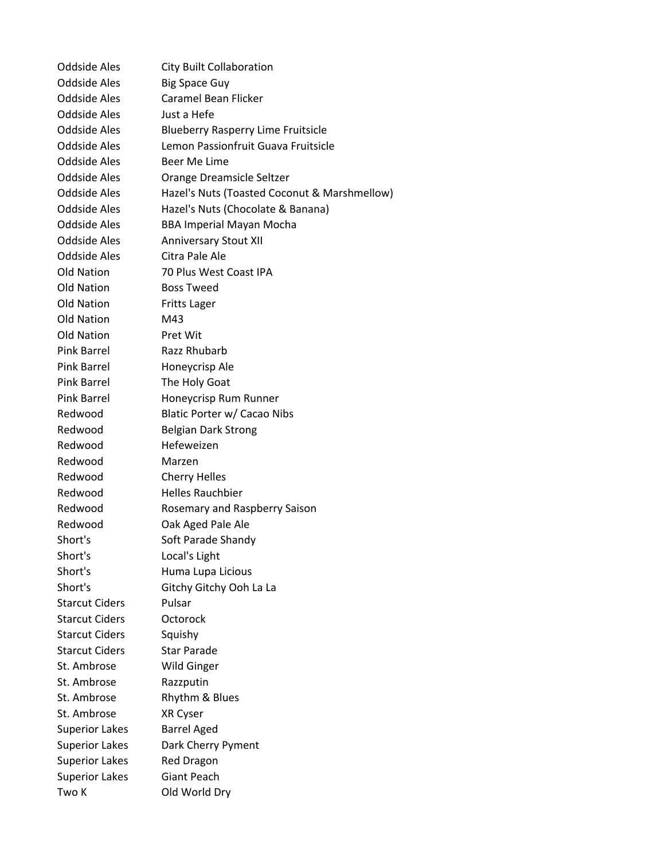Oddside Ales City Built Collaboration Oddside Ales Big Space Guy Oddside Ales Caramel Bean Flicker Oddside Ales Just a Hefe Oddside Ales Blueberry Rasperry Lime Fruitsicle Oddside Ales Lemon Passionfruit Guava Fruitsicle Oddside Ales Beer Me Lime Oddside Ales Orange Dreamsicle Seltzer Oddside Ales Hazel's Nuts (Toasted Coconut & Marshmellow) Oddside Ales Hazel's Nuts (Chocolate & Banana) Oddside Ales BBA Imperial Mayan Mocha Oddside Ales Anniversary Stout XII Oddside Ales Citra Pale Ale Old Nation 70 Plus West Coast IPA Old Nation Boss Tweed Old Nation Fritts Lager Old Nation M43 Old Nation Pret Wit Pink Barrel Razz Rhubarb Pink Barrel Honeycrisp Ale Pink Barrel The Holy Goat Pink Barrel Honeycrisp Rum Runner Redwood Blatic Porter w/ Cacao Nibs Redwood Belgian Dark Strong Redwood Hefeweizen Redwood Marzen Redwood Cherry Helles Redwood Helles Rauchbier Redwood Rosemary and Raspberry Saison Redwood Oak Aged Pale Ale Short's Soft Parade Shandy Short's Local's Light Short's Huma Lupa Licious Short's Gitchy Gitchy Ooh La La Starcut Ciders Pulsar Starcut Ciders Octorock Starcut Ciders Squishy Starcut Ciders Star Parade St. Ambrose Wild Ginger St. Ambrose Razzputin St. Ambrose Rhythm & Blues St. Ambrose XR Cyser Superior Lakes Barrel Aged Superior Lakes Dark Cherry Pyment Superior Lakes Red Dragon Superior Lakes Giant Peach Two K Old World Dry